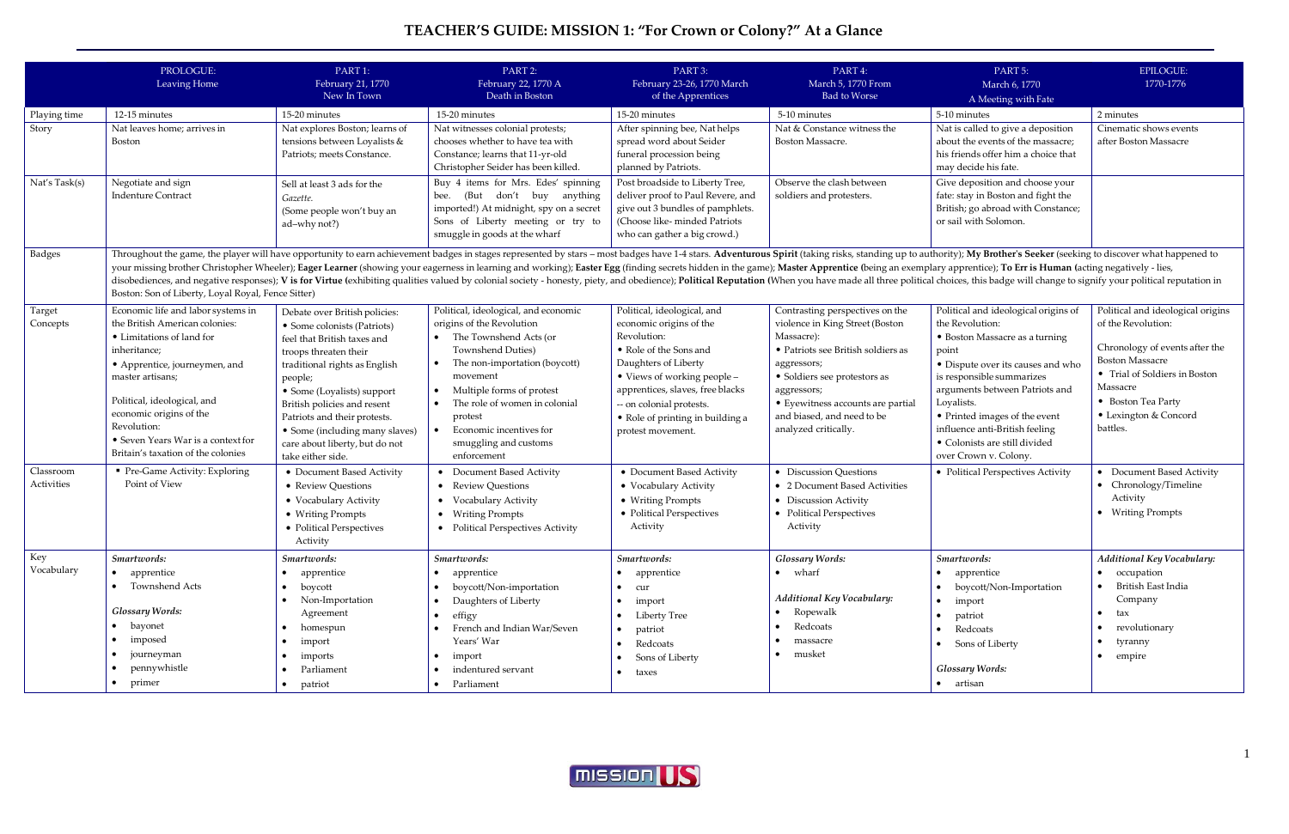## **TEACHER'S GUIDE: MISSION 1: "For Crown or Colony?" At a Glance**

|                         | PROLOGUE:<br>Leaving Home                                                                                                                                                                                                                                                                                                                                                                                                                                                                                                                                                                                                                                                                                                                                | PART 1:<br>February 21, 1770<br>New In Town                                                                                                                                        | PART 2:<br>February 22, 1770 A<br>Death in Boston                                                                                                                                    | PART 3:<br>February 23-26, 1770 March<br>of the Apprentices                                                                                                              | PART 4:<br>March 5, 1770 From<br><b>Bad to Worse</b>                                                                                                                  | PART 5:<br>March 6, 1770<br>A Meeting with Fate                                                                                                                           | <b>EPILOGUE:</b><br>1770-1776                                                                                                                        |
|-------------------------|----------------------------------------------------------------------------------------------------------------------------------------------------------------------------------------------------------------------------------------------------------------------------------------------------------------------------------------------------------------------------------------------------------------------------------------------------------------------------------------------------------------------------------------------------------------------------------------------------------------------------------------------------------------------------------------------------------------------------------------------------------|------------------------------------------------------------------------------------------------------------------------------------------------------------------------------------|--------------------------------------------------------------------------------------------------------------------------------------------------------------------------------------|--------------------------------------------------------------------------------------------------------------------------------------------------------------------------|-----------------------------------------------------------------------------------------------------------------------------------------------------------------------|---------------------------------------------------------------------------------------------------------------------------------------------------------------------------|------------------------------------------------------------------------------------------------------------------------------------------------------|
| Playing time<br>Story   | 12-15 minutes<br>Nat leaves home; arrives in                                                                                                                                                                                                                                                                                                                                                                                                                                                                                                                                                                                                                                                                                                             | 15-20 minutes<br>Nat explores Boston; learns of                                                                                                                                    | 15-20 minutes<br>Nat witnesses colonial protests;                                                                                                                                    | 15-20 minutes<br>After spinning bee, Nathelps                                                                                                                            | 5-10 minutes<br>Nat & Constance witness the<br>Boston Massacre.                                                                                                       | 5-10 minutes<br>Nat is called to give a deposition                                                                                                                        | 2 minutes<br>Cinematic shows events                                                                                                                  |
|                         | Boston                                                                                                                                                                                                                                                                                                                                                                                                                                                                                                                                                                                                                                                                                                                                                   | tensions between Loyalists &<br>Patriots; meets Constance.                                                                                                                         | chooses whether to have tea with<br>Constance; learns that 11-yr-old<br>Christopher Seider has been killed.                                                                          | spread word about Seider<br>funeral procession being<br>planned by Patriots.                                                                                             |                                                                                                                                                                       | about the events of the massacre;<br>his friends offer him a choice that<br>may decide his fate.                                                                          | after Boston Massacre                                                                                                                                |
| Nat's Task(s)           | Negotiate and sign<br><b>Indenture Contract</b>                                                                                                                                                                                                                                                                                                                                                                                                                                                                                                                                                                                                                                                                                                          | Sell at least 3 ads for the<br>Gazette.<br>(Some people won't buy an<br>ad-why not?)                                                                                               | Buy 4 items for Mrs. Edes' spinning<br>bee. (But don't buy anything<br>imported!) At midnight, spy on a secret<br>Sons of Liberty meeting or try to<br>smuggle in goods at the wharf | Post broadside to Liberty Tree,<br>deliver proof to Paul Revere, and<br>give out 3 bundles of pamphlets.<br>(Choose like-minded Patriots<br>who can gather a big crowd.) | Observe the clash between<br>soldiers and protesters.                                                                                                                 | Give deposition and choose your<br>fate: stay in Boston and fight the<br>British; go abroad with Constance;<br>or sail with Solomon.                                      |                                                                                                                                                      |
| <b>Badges</b>           | Throughout the game, the player will have opportunity to earn achievement badges in stages represented by stars - most badges have 1-4 stars. Adventurous Spirit (taking risks, standing up to authority); My Brother's Seeker<br>your missing brother Christopher Wheeler); Eager Learner (showing your eagerness in learning and working); Easter Egg (finding secrets hidden in the game); Master Apprentice (being an exemplary apprentice); To Err is Human<br>disobediences, and negative responses); V is for Virtue (exhibiting qualities valued by colonial society - honesty, piety, and obedience); Political Reputation (When you have made all three political choices, this badge wi<br>Boston: Son of Liberty, Loyal Royal, Fence Sitter) |                                                                                                                                                                                    |                                                                                                                                                                                      |                                                                                                                                                                          |                                                                                                                                                                       |                                                                                                                                                                           |                                                                                                                                                      |
| Target<br>Concepts      | Economic life and labor systems in<br>the British American colonies:<br>• Limitations of land for<br>inheritance;<br>• Apprentice, journeymen, and<br>master artisans;                                                                                                                                                                                                                                                                                                                                                                                                                                                                                                                                                                                   | Debate over British policies:<br>• Some colonists (Patriots)<br>feel that British taxes and<br>troops threaten their<br>traditional rights as English<br>people;                   | Political, ideological, and economic<br>origins of the Revolution<br>The Townshend Acts (or<br><b>Townshend Duties)</b><br>The non-importation (boycott)<br>movement                 | Political, ideological, and<br>economic origins of the<br>Revolution:<br>• Role of the Sons and<br>Daughters of Liberty<br>• Views of working people -                   | Contrasting perspectives on the<br>violence in King Street (Boston<br>Massacre):<br>• Patriots see British soldiers as<br>aggressors;<br>• Soldiers see protestors as | Political and ideological origins of<br>the Revolution:<br>• Boston Massacre as a turning<br>point<br>• Dispute over its causes and who<br>is responsible summarizes      | Political and ideological origins<br>of the Revolution:<br>Chronology of events after the<br><b>Boston Massacre</b><br>• Trial of Soldiers in Boston |
|                         | Political, ideological, and<br>economic origins of the<br>Revolution:<br>• Seven Years War is a context for<br>Britain's taxation of the colonies                                                                                                                                                                                                                                                                                                                                                                                                                                                                                                                                                                                                        | • Some (Loyalists) support<br>British policies and resent<br>Patriots and their protests.<br>• Some (including many slaves)<br>care about liberty, but do not<br>take either side. | Multiple forms of protest<br>The role of women in colonial<br>protest<br>Economic incentives for<br>smuggling and customs<br>enforcement                                             | apprentices, slaves, free blacks<br>-- on colonial protests.<br>• Role of printing in building a<br>protest movement.                                                    | aggressors;<br>• Eyewitness accounts are partial<br>and biased, and need to be<br>analyzed critically.                                                                | arguments between Patriots and<br>Loyalists.<br>• Printed images of the event<br>influence anti-British feeling<br>· Colonists are still divided<br>over Crown v. Colony. | Massacre<br>• Boston Tea Party<br>• Lexington & Concord<br>battles.                                                                                  |
| Classroom<br>Activities | Pre-Game Activity: Exploring<br>Point of View                                                                                                                                                                                                                                                                                                                                                                                                                                                                                                                                                                                                                                                                                                            | • Document Based Activity<br>• Review Questions<br>• Vocabulary Activity<br>• Writing Prompts<br>• Political Perspectives<br>Activity                                              | • Document Based Activity<br>• Review Questions<br>• Vocabulary Activity<br>• Writing Prompts<br>• Political Perspectives Activity                                                   | • Document Based Activity<br>• Vocabulary Activity<br>• Writing Prompts<br>• Political Perspectives<br>Activity                                                          | • Discussion Questions<br>• 2 Document Based Activities<br>• Discussion Activity<br>• Political Perspectives<br>Activity                                              | • Political Perspectives Activity                                                                                                                                         | Document Based Activity<br>• Chronology/Timeline<br>Activity<br>• Writing Prompts                                                                    |
| Key<br>Vocabulary       | Smartwords:<br>• apprentice<br>• Townshend Acts                                                                                                                                                                                                                                                                                                                                                                                                                                                                                                                                                                                                                                                                                                          | Smartwords:<br>apprentice<br>boycott<br>• Non-Importation                                                                                                                          | Smartwords:<br>• apprentice<br>• boycott/Non-importation<br>Daughters of Liberty<br>$\bullet$                                                                                        | Smartwords:<br>• apprentice<br>$\bullet$ cur<br>$\bullet$ import                                                                                                         | <b>Glossary Words:</b><br>• wharf<br>Additional Key Vocabulary:                                                                                                       | Smartwords:<br>• apprentice<br>• boycott/Non-Importation<br>$\bullet$ import                                                                                              | Additional Key Vocabulary:<br>occupation<br>British East India<br>Company                                                                            |
|                         | <b>Glossary Words:</b><br>• bayonet<br>• imposed<br>• journeyman<br>pennywhistle<br>$\bullet$                                                                                                                                                                                                                                                                                                                                                                                                                                                                                                                                                                                                                                                            | Agreement<br>$\bullet$ homespun<br>import<br>imports<br>Parliament                                                                                                                 | effigy<br>$\bullet$<br>French and Indian War/Seven<br>Years' War<br>$\bullet$ import<br>indentured servant<br>$\bullet$                                                              | • Liberty Tree<br>patriot<br>Redcoats<br>$\bullet$<br>Sons of Liberty<br>$\bullet$<br>taxes                                                                              | Ropewalk<br>Redcoats<br>massacre<br>musket                                                                                                                            | patriot<br>$\bullet$<br>• Redcoats<br>• Sons of Liberty<br><b>Glossary Words:</b>                                                                                         | tax<br>revolutionary<br>tyranny<br>empire                                                                                                            |
|                         | • primer                                                                                                                                                                                                                                                                                                                                                                                                                                                                                                                                                                                                                                                                                                                                                 | patriot                                                                                                                                                                            | • Parliament                                                                                                                                                                         |                                                                                                                                                                          |                                                                                                                                                                       | • artisan                                                                                                                                                                 |                                                                                                                                                      |